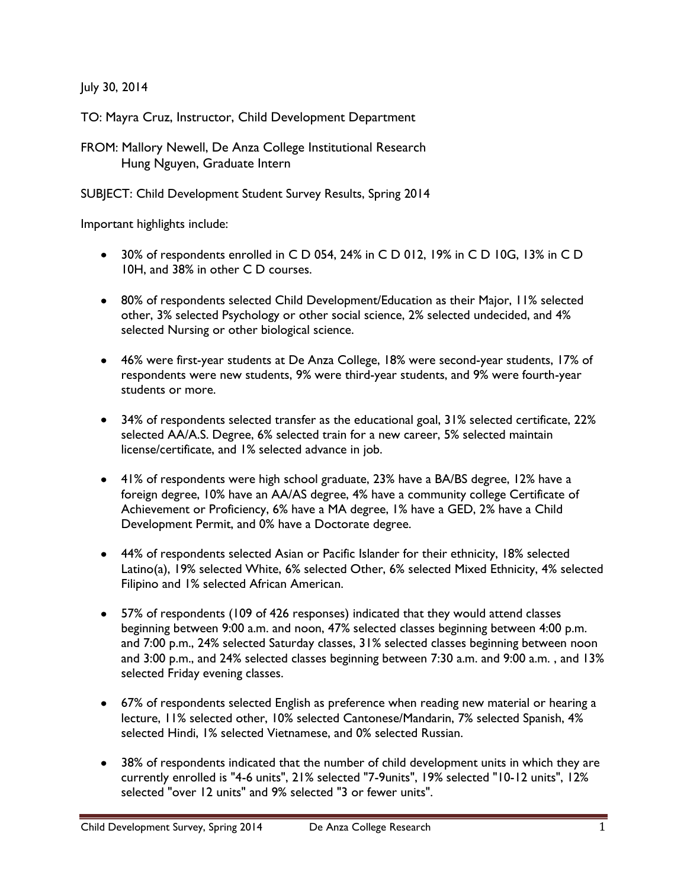July 30, 2014

TO: Mayra Cruz, Instructor, Child Development Department

FROM: Mallory Newell, De Anza College Institutional Research Hung Nguyen, Graduate Intern

SUBJECT: Child Development Student Survey Results, Spring 2014

Important highlights include:

- 30% of respondents enrolled in C D 054, 24% in C D 012, 19% in C D 10G, 13% in C D 10H, and 38% in other C D courses.
- 80% of respondents selected Child Development/Education as their Major, 11% selected other, 3% selected Psychology or other social science, 2% selected undecided, and 4% selected Nursing or other biological science.
- 46% were first-year students at De Anza College, 18% were second-year students, 17% of respondents were new students, 9% were third-year students, and 9% were fourth-year students or more.
- 34% of respondents selected transfer as the educational goal, 31% selected certificate, 22% selected AA/A.S. Degree, 6% selected train for a new career, 5% selected maintain license/certificate, and 1% selected advance in job.
- 41% of respondents were high school graduate, 23% have a BA/BS degree, 12% have a foreign degree, 10% have an AA/AS degree, 4% have a community college Certificate of Achievement or Proficiency, 6% have a MA degree, 1% have a GED, 2% have a Child Development Permit, and 0% have a Doctorate degree.
- 44% of respondents selected Asian or Pacific Islander for their ethnicity, 18% selected Latino(a), 19% selected White, 6% selected Other, 6% selected Mixed Ethnicity, 4% selected Filipino and 1% selected African American.
- 57% of respondents (109 of 426 responses) indicated that they would attend classes beginning between 9:00 a.m. and noon, 47% selected classes beginning between 4:00 p.m. and 7:00 p.m., 24% selected Saturday classes, 31% selected classes beginning between noon and 3:00 p.m., and 24% selected classes beginning between 7:30 a.m. and 9:00 a.m. , and 13% selected Friday evening classes.
- 67% of respondents selected English as preference when reading new material or hearing a lecture, 11% selected other, 10% selected Cantonese/Mandarin, 7% selected Spanish, 4% selected Hindi, 1% selected Vietnamese, and 0% selected Russian.
- 38% of respondents indicated that the number of child development units in which they are currently enrolled is "4-6 units", 21% selected "7-9units", 19% selected "10-12 units", 12% selected "over 12 units" and 9% selected "3 or fewer units".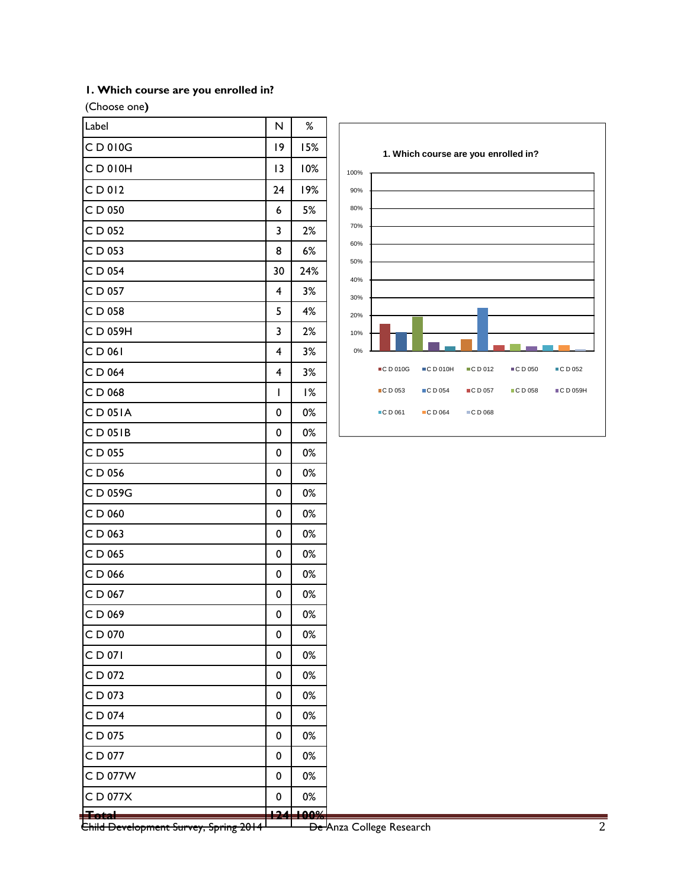### **1. Which course are you enrolled in?**

(Choose one**)**

| Label     | N  | $\%$ |
|-----------|----|------|
| CD010G    | 19 | 15%  |
| CD010H    | 13 | 10%  |
| CD012     | 24 | 19%  |
| C D 050   | 6  | 5%   |
| CD 052    | 3  | 2%   |
| C D 053   | 8  | 6%   |
| C D 054   | 30 | 24%  |
| C D 057   | 4  | 3%   |
| C D 058   | 5  | 4%   |
| CD 059H   | 3  | 2%   |
| CD 061    | 4  | 3%   |
| CD 064    | 4  | 3%   |
| CD 068    | I  | 1%   |
| $CD$ 051A | 0  | 0%   |
| CD 051B   | 0  | 0%   |
| CD 055    | 0  | 0%   |
| C D 056   | 0  | 0%   |
| CD 059G   | 0  | 0%   |
| C D 060   | 0  | 0%   |
| CD 063    | 0  | 0%   |
| C D 065   | 0  | 0%   |
| C D 066   | 0  | 0%   |
| CD 067    | 0  | 0%   |
| CD 069    | 0  | 0%   |
| C D 070   | 0  | 0%   |
| CD 071    | 0  | 0%   |
| CD 072    | 0  | 0%   |
| CD 073    | 0  | 0%   |
| CD 074    | 0  | 0%   |
| CD 075    | 0  | 0%   |
| CD 077    | 0  | 0%   |
| C D 077W  | 0  | 0%   |
| C D 077X  | 0  | 0%   |
| Total     |    | -00% |



<del>Child Development Survey, Spring 2014 <sup>De J</sup>anza College Research Child Development Survey, 2</del>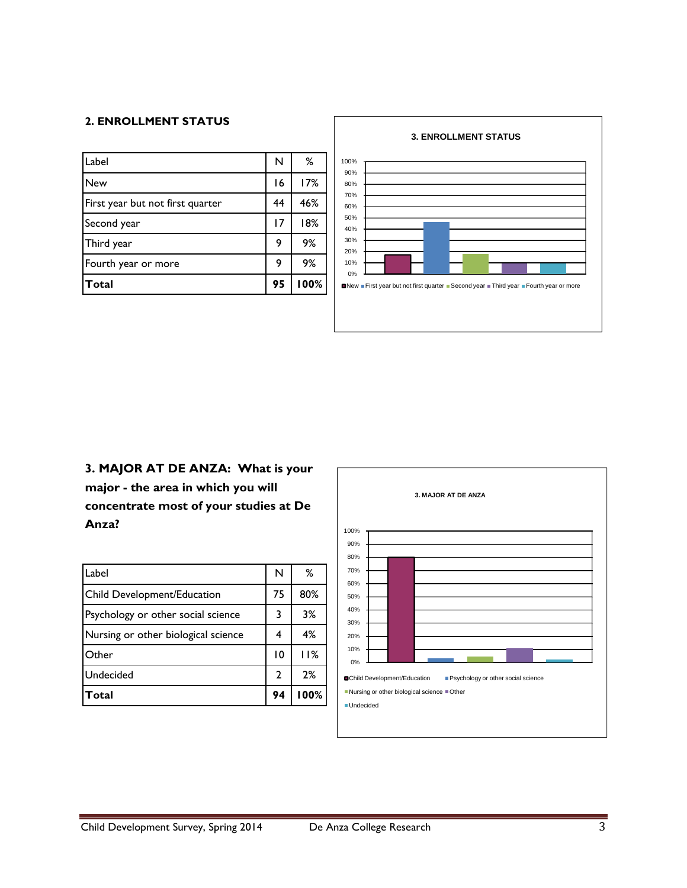#### **2. ENROLLMENT STATUS**

| Label                            | N  | %    |
|----------------------------------|----|------|
| <b>New</b>                       | 16 | 17%  |
| First year but not first quarter | 44 | 46%  |
| Second year                      | 17 | 18%  |
| Third year                       | 9  | 9%   |
| Fourth year or more              | 9  | 9%   |
| Total                            | 95 | 100% |



# **3. MAJOR AT DE ANZA: What is your major - the area in which you will concentrate most of your studies at De Anza?**

| Label                               | N            | %    |
|-------------------------------------|--------------|------|
| Child Development/Education         | 75           | 80%  |
| Psychology or other social science  | 3            | 3%   |
| Nursing or other biological science |              | 4%   |
| Other                               | 10           | 11%  |
| Undecided                           | $\mathbf{2}$ | 2%   |
| Total                               | 94           | 100% |

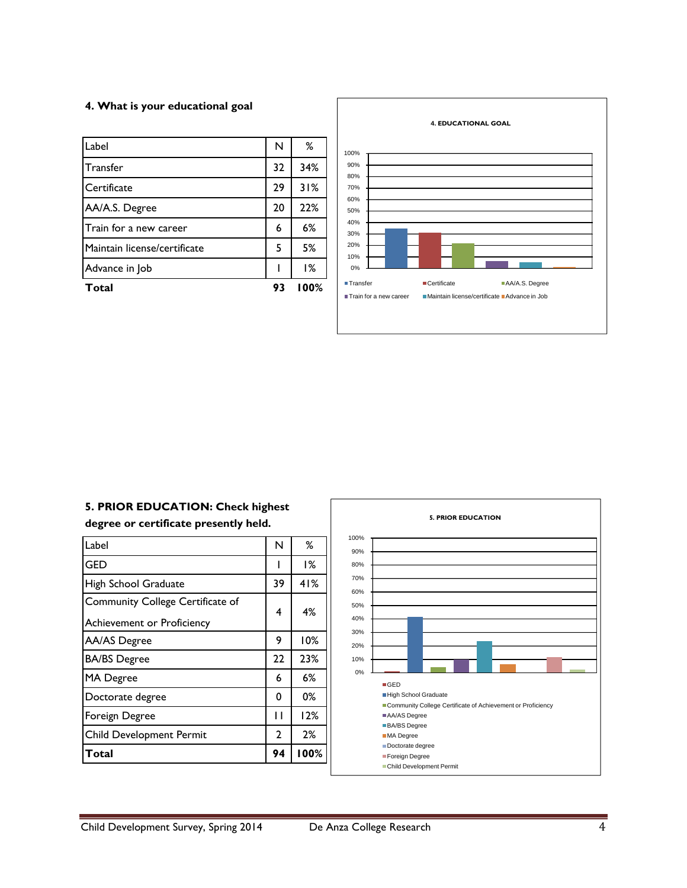#### **4. What is your educational goal**

| Label                        | N  | %    |
|------------------------------|----|------|
| Transfer                     | 32 | 34%  |
| Certificate                  | 29 | 31%  |
| AA/A.S. Degree               | 20 | 22%  |
| Train for a new career       | 6  | 6%   |
| Maintain license/certificate | 5  | 5%   |
| Advance in Job               |    | 1%   |
| <b>Total</b>                 | 93 | 100% |



### **5. PRIOR EDUCATION: Check highest degree or certificate presently held.**

| N  | ℅    |
|----|------|
|    | ۱%   |
| 39 | 41%  |
|    | 4%   |
|    |      |
| 9  | 10%  |
| 22 | 23%  |
| 6  | 6%   |
| 0  | 0%   |
| П  | 12%  |
| 2  | 2%   |
| 94 | 100% |
|    | 4    |

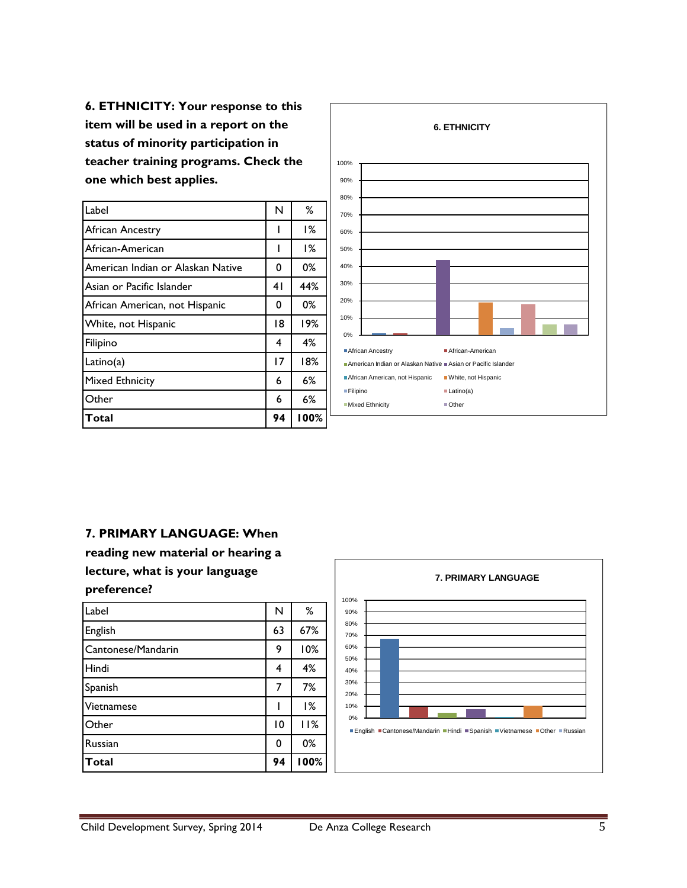**6. ETHNICITY: Your response to this item will be used in a report on the status of minority participation in teacher training programs. Check the one which best applies.** 

| Label                             | N              | ℅    |
|-----------------------------------|----------------|------|
| African Ancestry                  |                | 1%   |
| African-American                  |                | 1%   |
| American Indian or Alaskan Native | 0              | 0%   |
| Asian or Pacific Islander         | 4 <sub>1</sub> | 44%  |
| African American, not Hispanic    | 0              | 0%   |
| White, not Hispanic               | 18             | 19%  |
| Filipino                          | 4              | 4%   |
| Latino(a)                         | 17             | 18%  |
| Mixed Ethnicity                   | 6              | 6%   |
| Other                             | 6              | 6%   |
| Total                             | 94             | 100% |



#### **7. PRIMARY LANGUAGE: When**

**reading new material or hearing a lecture, what is your language preference?**

| Label              | N  | %    |
|--------------------|----|------|
| English            | 63 | 67%  |
| Cantonese/Mandarin | 9  | 10%  |
| Hindi              | 4  | 4%   |
| Spanish            |    | 7%   |
| Vietnamese         |    | 1%   |
| Other              | 10 | 11%  |
| <b>Russian</b>     | 0  | 0%   |
| <b>Total</b>       | 94 | 100% |

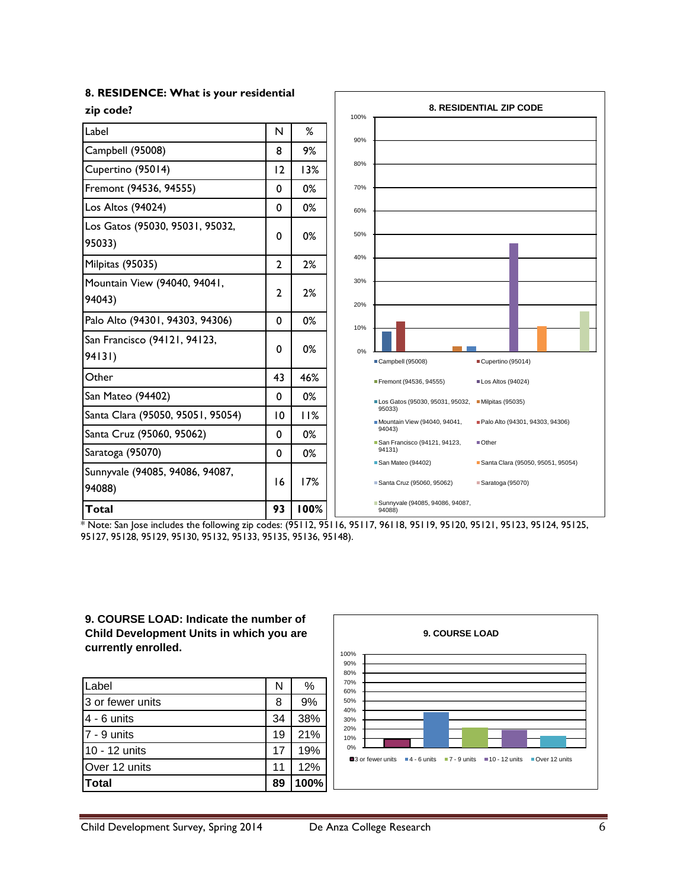| <b>0. RESIDENCE: What is your residential</b> |                 |      |                                                                                                         |  |  |
|-----------------------------------------------|-----------------|------|---------------------------------------------------------------------------------------------------------|--|--|
| zip code?                                     |                 |      | <b>8. RESIDENTIAL ZIP CODE</b><br>100%                                                                  |  |  |
| Label                                         | N               | %    | 90%                                                                                                     |  |  |
| Campbell (95008)                              | 8               | 9%   |                                                                                                         |  |  |
| Cupertino (95014)                             | 12              | 13%  | 80%                                                                                                     |  |  |
| Fremont (94536, 94555)                        | 0               | 0%   | 70%                                                                                                     |  |  |
| Los Altos (94024)                             | $\mathbf 0$     | 0%   | 60%                                                                                                     |  |  |
| Los Gatos (95030, 95031, 95032,<br>95033)     | 0               | 0%   | 50%                                                                                                     |  |  |
| Milpitas (95035)                              | $\overline{2}$  | 2%   | 40%                                                                                                     |  |  |
| Mountain View (94040, 94041,<br>94043)        | $\overline{2}$  | 2%   | 30%<br>20%                                                                                              |  |  |
| Palo Alto (94301, 94303, 94306)               | $\mathbf 0$     | 0%   | 10%                                                                                                     |  |  |
| San Francisco (94121, 94123,<br>94131)        | 0               | 0%   | 0%<br>Campbell (95008)<br>Cupertino (95014)                                                             |  |  |
| Other                                         | 43              | 46%  | Fremont (94536, 94555)<br>Los Altos (94024)                                                             |  |  |
| San Mateo (94402)                             | $\mathbf 0$     | 0%   | Milpitas (95035)<br>Los Gatos (95030, 95031, 95032,                                                     |  |  |
| Santa Clara (95050, 95051, 95054)             | $\overline{10}$ | 11%  | 95033)<br>Mountain View (94040, 94041,<br>Palo Alto (94301, 94303, 94306)                               |  |  |
| Santa Cruz (95060, 95062)                     | $\mathbf 0$     | 0%   | 94043)<br>San Francisco (94121, 94123,<br>■Other                                                        |  |  |
| Saratoga (95070)                              | 0               | 0%   | 94131)                                                                                                  |  |  |
| Sunnyvale (94085, 94086, 94087,<br>94088)     | 16              | 17%  | San Mateo (94402)<br>Santa Clara (95050, 95051, 95054)<br>Santa Cruz (95060, 95062)<br>Saratoga (95070) |  |  |
| <b>Total</b>                                  | 93              | 100% | Sunnyvale (94085, 94086, 94087,<br>94088)                                                               |  |  |

#### **8. RESIDENCE: What is your residential**

\* Note: San Jose includes the following zip codes: (95112, 95116, 95117, 96118, 95119, 95120, 95121, 95123, 95124, 95125, 95127, 95128, 95129, 95130, 95132, 95133, 95135, 95136, 95148).

#### **9. COURSE LOAD: Indicate the number of Child Development Units in which you are currently enrolled.**

| Label            | N  | ℅    |
|------------------|----|------|
| 3 or fewer units | 8  | 9%   |
| $4 - 6$ units    | 34 | 38%  |
| 7 - 9 units      | 19 | 21%  |
| 10 - 12 units    | 17 | 19%  |
| Over 12 units    | 11 | 12%  |
| <b>Total</b>     | 89 | 100% |

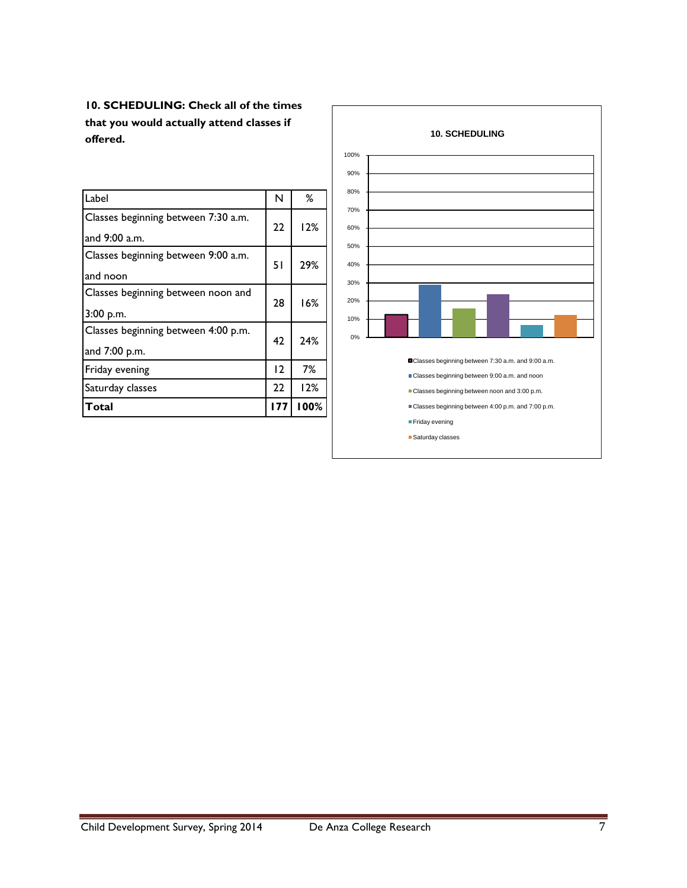**10. SCHEDULING: Check all of the times that you would actually attend classes if offered.**

| Label                                                | N   | %    |
|------------------------------------------------------|-----|------|
| Classes beginning between 7:30 a.m.<br>and 9:00 a.m. | 22  | 12%  |
| Classes beginning between 9:00 a.m.<br>and noon      | 51  | 29%  |
| Classes beginning between noon and<br>3:00 p.m.      | 28  | 16%  |
| Classes beginning between 4:00 p.m.<br>and 7:00 p.m. | 42  | 24%  |
| Friday evening                                       | 12  | 7%   |
| Saturday classes                                     | 22  | 12%  |
| Total                                                | 177 | 100% |

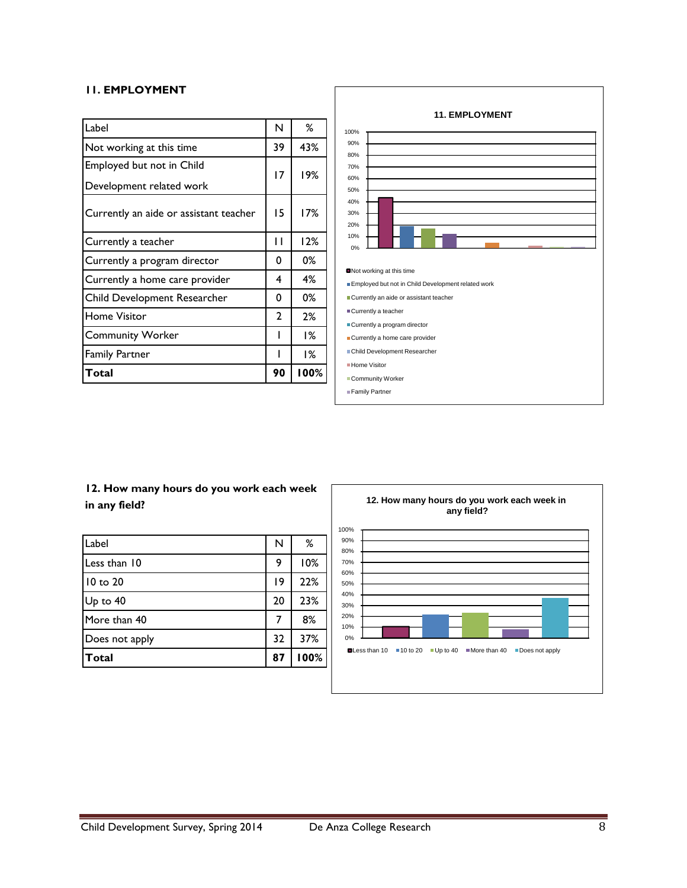#### **11. EMPLOYMENT**

| Label                                  | N            | ℅    |
|----------------------------------------|--------------|------|
| Not working at this time               | 39           | 43%  |
| Employed but not in Child              | 17           |      |
| Development related work               |              | 19%  |
| Currently an aide or assistant teacher | 15           | 17%  |
| Currently a teacher                    | П            | 12%  |
| Currently a program director           | 0            | 0%   |
| Currently a home care provider         | 4            | 4%   |
| Child Development Researcher           | 0            | 0%   |
| <b>Home Visitor</b>                    | $\mathbf{c}$ | 2%   |
| <b>Community Worker</b>                |              | 1%   |
| <b>Family Partner</b>                  | ı            | 1%   |
| Total                                  | 90           | 100% |



# **12. How many hours do you work each week in any field?**

| Label          | N  | ℅    |
|----------------|----|------|
| Less than 10   | 9  | 10%  |
| $10$ to $20$   | 19 | 22%  |
| Up to 40       | 20 | 23%  |
| More than 40   | 7  | 8%   |
| Does not apply | 32 | 37%  |
| Total          | 87 | 100% |

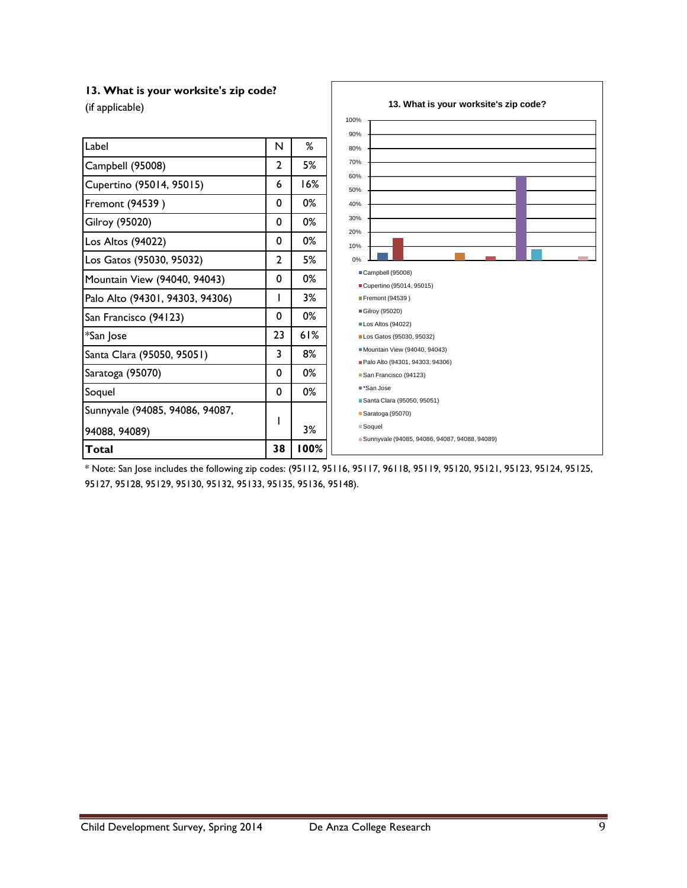#### **13. What is your worksite's zip code?**

| (if applicable)                 |    |      | 13. What is your worksite's zip code?                    |
|---------------------------------|----|------|----------------------------------------------------------|
|                                 |    |      | 100%                                                     |
| Label                           | N  | ℅    | 90%<br>80%                                               |
| Campbell (95008)                | 2  | 5%   | 70%                                                      |
| Cupertino (95014, 95015)        | 6  | 16%  | 60%<br>50%                                               |
| Fremont (94539)                 | 0  | 0%   | 40%                                                      |
| <b>Gilroy (95020)</b>           | 0  | 0%   | 30%                                                      |
| Los Altos (94022)               | 0  | 0%   | 20%<br>10%                                               |
| Los Gatos (95030, 95032)        | 2  | 5%   | 0%                                                       |
| Mountain View (94040, 94043)    | 0  | 0%   | Campbell (95008)<br>Cupertino (95014, 95015)             |
| Palo Alto (94301, 94303, 94306) | L  | 3%   | Fremont (94539)                                          |
| San Francisco (94123)           | 0  | 0%   | Gilroy (95020)<br>Los Altos (94022)                      |
| *San Jose                       | 23 | 61%  | Los Gatos (95030, 95032)                                 |
| Santa Clara (95050, 95051)      | 3  | 8%   | Mountain View (94040, 94043)                             |
| Saratoga (95070)                | 0  | 0%   | Palo Alto (94301, 94303, 94306)<br>San Francisco (94123) |
| Soquel                          | 0  | 0%   | ■*San Jose                                               |
| Sunnyvale (94085, 94086, 94087, |    |      | Santa Clara (95050, 95051)<br>Saratoga (95070)           |
| 94088, 94089)                   |    | 3%   | Soquel                                                   |
| Total                           | 38 | 100% | Sunnyvale (94085, 94086, 94087, 94088, 94089)            |

\* Note: San Jose includes the following zip codes: (95112, 95116, 95117, 96118, 95119, 95120, 95121, 95123, 95124, 95125, 95127, 95128, 95129, 95130, 95132, 95133, 95135, 95136, 95148).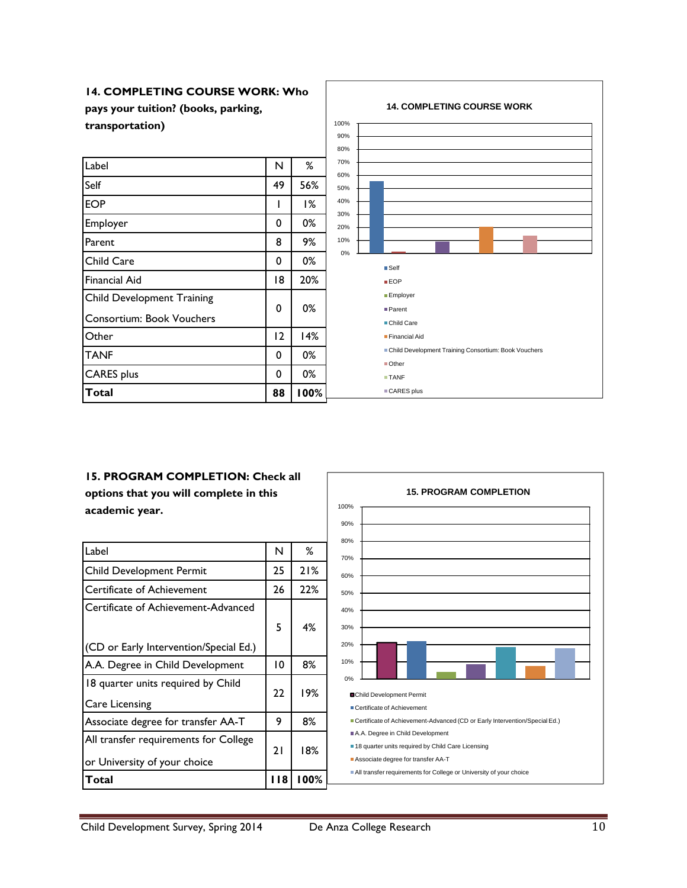

# **15. PROGRAM COMPLETION: Check all**

**options that you will complete in this academic year.**

| Label                                                                 | N    | ℅    |
|-----------------------------------------------------------------------|------|------|
| <b>Child Development Permit</b>                                       | 25   | 21%  |
| Certificate of Achievement                                            | 26   | 22%  |
| Certificate of Achievement-Advanced                                   | 5    | 4%   |
| (CD or Early Intervention/Special Ed.)                                |      |      |
| A.A. Degree in Child Development                                      | 10   | 8%   |
| 18 quarter units required by Child<br>Care Licensing                  | 22   | 19%  |
| Associate degree for transfer AA-T                                    | 9    | 8%   |
| All transfer requirements for College<br>or University of your choice | 21   | 18%  |
| Total                                                                 | I 18 | 100% |

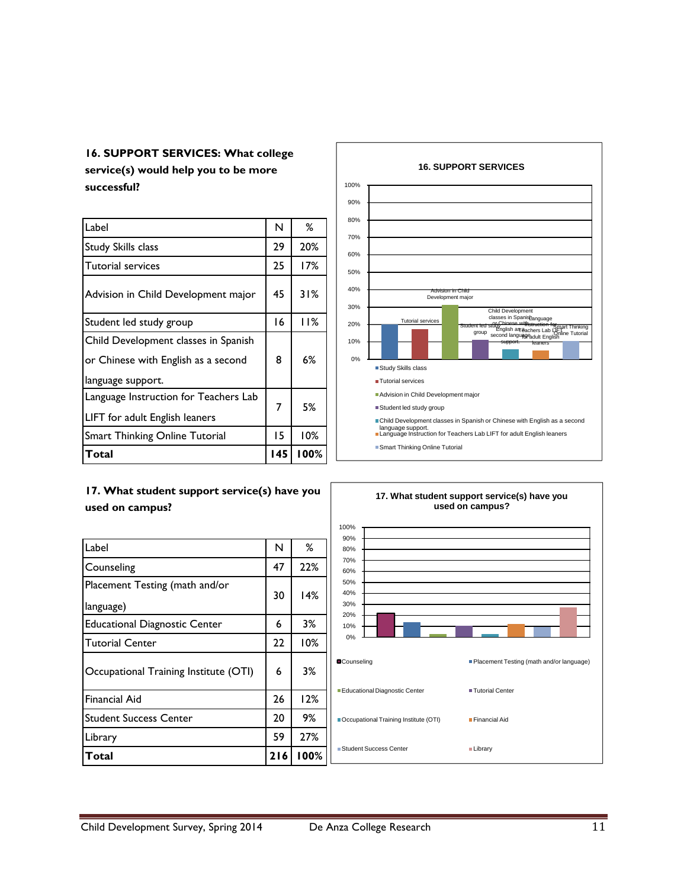# **16. SUPPORT SERVICES: What college**

**service(s) would help you to be more successful?**

| Label                                 | N   | ℅    |
|---------------------------------------|-----|------|
| <b>Study Skills class</b>             | 29  | 20%  |
| <b>Tutorial services</b>              | 25  | 17%  |
| Advision in Child Development major   | 45  | 31%  |
| Student led study group               | 16  | 11%  |
| Child Development classes in Spanish  |     |      |
| or Chinese with English as a second   | 8   | 6%   |
| language support.                     |     |      |
| Language Instruction for Teachers Lab | 7   | 5%   |
| LIFT for adult English leaners        |     |      |
| <b>Smart Thinking Online Tutorial</b> |     | 10%  |
| Total                                 | 145 | 100% |

# **17. What student support service(s) have you**



 $\Box$ Label N  $\parallel$  N  $\parallel$  % Counseling 22% Placement Testing (math and/or language)  $30$  | 14% Educational Diagnostic Center 1 6 3% Tutorial Center 22 | 10% **used on campus?** 10% 20% 30% 40% 50% 60% 70% 80% 90% 100%

Occupational Training Institute (OTI) | 6 | 3%

Financial Aid 26 12% Student Success Center 20 9% Library 59 27% **Total 216 100%**

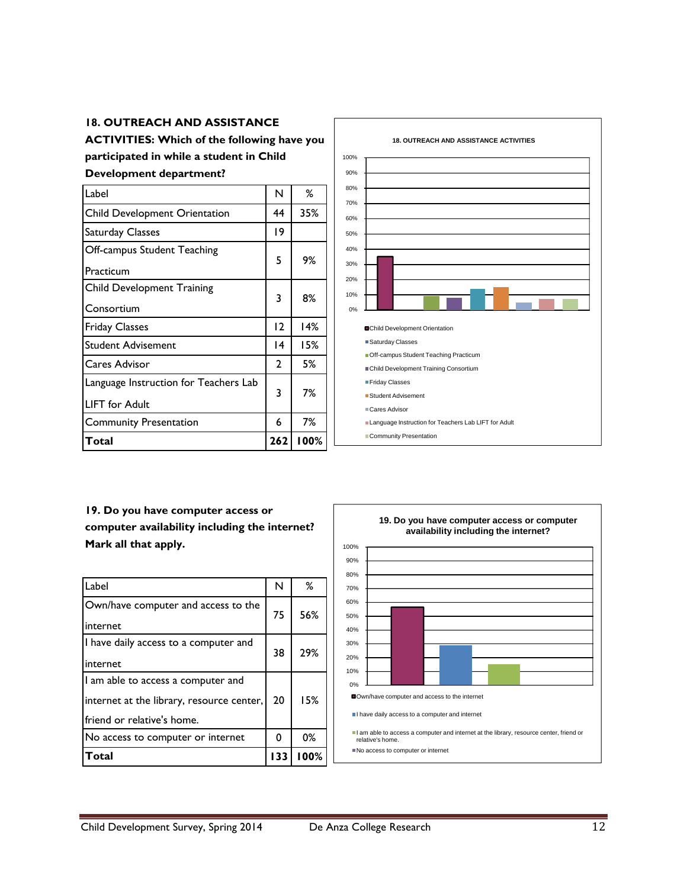#### **18. OUTREACH AND ASSISTANCE**

**ACTIVITIES: Which of the following have you participated in while a student in Child** 

#### **Development department?**

| Label                                                   | N               | ℅    |
|---------------------------------------------------------|-----------------|------|
| <b>Child Development Orientation</b>                    | 44              | 35%  |
| Saturday Classes                                        | 19              |      |
| Off-campus Student Teaching<br>Practicum                | 5               | 9%   |
| <b>Child Development Training</b><br>Consortium         | 3               | 8%   |
| <b>Friday Classes</b>                                   | 12              | 14%  |
| Student Advisement                                      | $\overline{14}$ | 15%  |
| Cares Advisor                                           | $\overline{2}$  | 5%   |
| Language Instruction for Teachers Lab<br>LIFT for Adult | 3               | 7%   |
| <b>Community Presentation</b>                           | 6               | 7%   |
| Total                                                   | 262             | 100% |



# **19. Do you have computer access or computer availability including the internet? Mark all that apply.**

| Label                                                                                                         | N   | ℅    |
|---------------------------------------------------------------------------------------------------------------|-----|------|
| Own/have computer and access to the<br>internet                                                               | 75  | 56%  |
| I have daily access to a computer and<br>internet                                                             | 38  | 29%  |
| I am able to access a computer and<br>internet at the library, resource center,<br>friend or relative's home. | 20  | 15%  |
| No access to computer or internet                                                                             | 0   | 0%   |
| Total                                                                                                         | 133 | 100% |

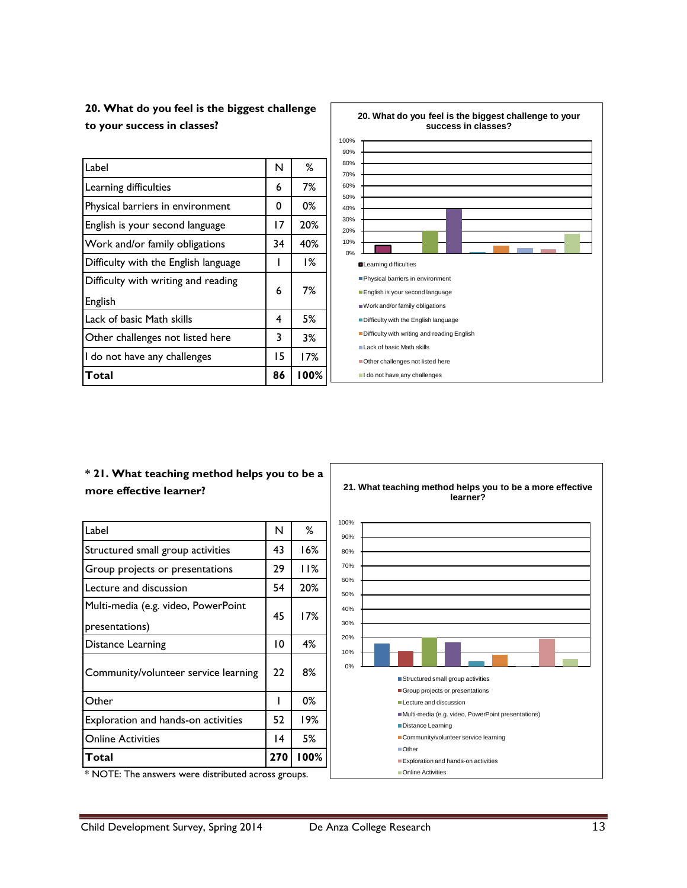**20. What do you feel is the biggest challenge to your success in classes?**

| Label                                | N  | %    |
|--------------------------------------|----|------|
| Learning difficulties                | 6  | 7%   |
| Physical barriers in environment     | 0  | 0%   |
| English is your second language      | 17 | 20%  |
| Work and/or family obligations       | 34 | 40%  |
| Difficulty with the English language |    | 1%   |
| Difficulty with writing and reading  | 6  | 7%   |
| English                              |    |      |
| Lack of basic Math skills            | 4  | 5%   |
| Other challenges not listed here     | 3  | 3%   |
| I do not have any challenges         | 15 | 17%  |
| Total                                | 86 | 100% |



#### **\* 21. What teaching method helps you to be a more effective learner?**

| Label                                                 | N  | ℅    |
|-------------------------------------------------------|----|------|
| Structured small group activities                     | 43 | 16%  |
| Group projects or presentations                       | 29 | 11%  |
| Lecture and discussion                                | 54 | 20%  |
| Multi-media (e.g. video, PowerPoint<br>presentations) | 45 | 17%  |
| Distance Learning                                     | 10 | 4%   |
| Community/volunteer service learning                  | 22 | 8%   |
| Other                                                 |    | 0%   |
| Exploration and hands-on activities                   | 52 | 19%  |
| <b>Online Activities</b>                              | 14 | 5%   |
| Total                                                 |    | 100% |



\* NOTE: The answers were distributed across groups.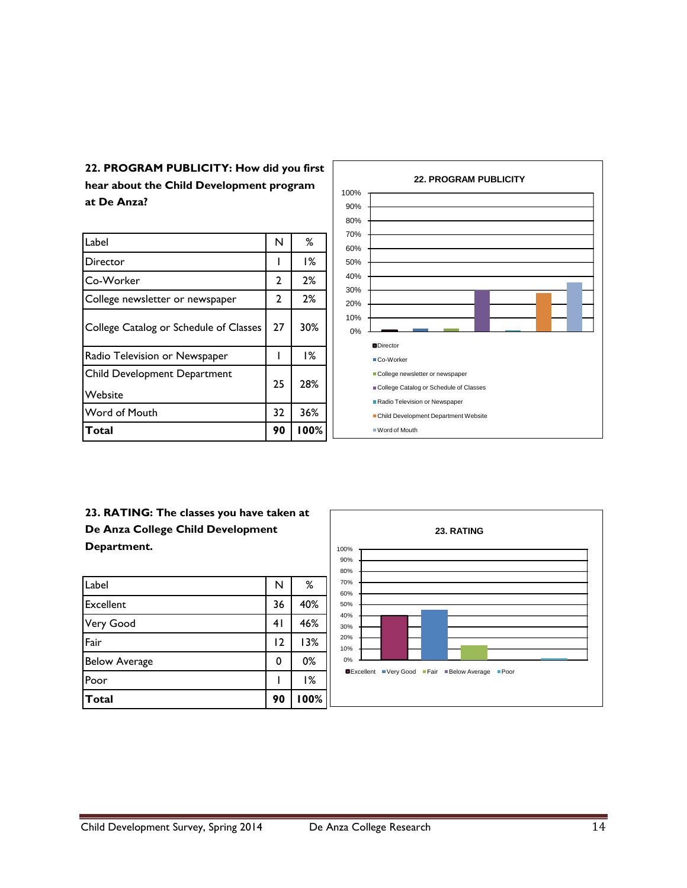**22. PROGRAM PUBLICITY: How did you first hear about the Child Development program at De Anza?**

| Label                                   | N  | %    |
|-----------------------------------------|----|------|
| Director                                |    | 1%   |
| Co-Worker                               | 2  | 2%   |
| College newsletter or newspaper         | 2  | 2%   |
| College Catalog or Schedule of Classes  | 27 | 30%  |
| Radio Television or Newspaper           |    | 1%   |
| Child Development Department<br>Website | 25 | 28%  |
| <b>Word of Mouth</b>                    | 32 | 36%  |
| Total                                   | 90 | 100% |



**23. RATING: The classes you have taken at De Anza College Child Development Department.**

| Label                | N  | %    |
|----------------------|----|------|
| Excellent            | 36 | 40%  |
| Very Good            | 41 | 46%  |
| Fair                 | 12 | 13%  |
| <b>Below Average</b> | 0  | 0%   |
| Poor                 |    | 1%   |
| Total                | 90 | 100% |

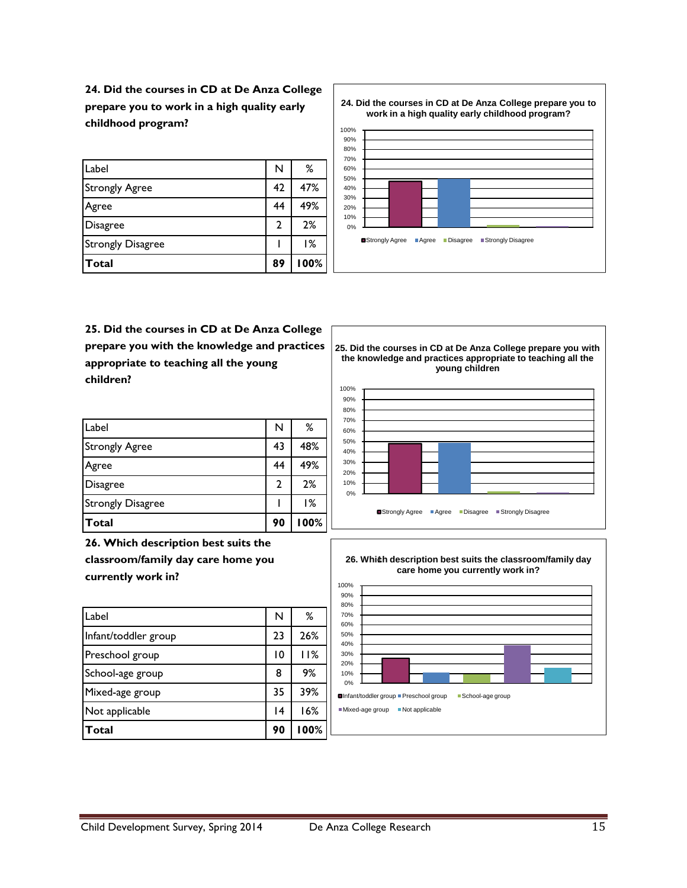**24. Did the courses in CD at De Anza College prepare you to work in a high quality early childhood program?**

| <b>Total</b>             | 89            | 100% |
|--------------------------|---------------|------|
| <b>Strongly Disagree</b> |               | 1%   |
| Disagree                 | $\mathcal{P}$ | 2%   |
| Agree                    | 44            | 49%  |
| <b>Strongly Agree</b>    | 42            | 47%  |
| Label                    | N             | ℅    |

80% 90% 100% **24. Did the courses in CD at De Anza College prepare you to work in a high quality early childhood program?**



**25. Did the courses in CD at De Anza College prepare you with the knowledge and practices appropriate to teaching all the young children?**

| Total                    | 90 | 100% |
|--------------------------|----|------|
| <b>Strongly Disagree</b> |    | 1%   |
| Disagree                 | 2  | 2%   |
| Agree                    | 44 | 49%  |
| <b>Strongly Agree</b>    | 43 | 48%  |
| Label                    | N  | ℅    |

**26. Which description best suits the classroom/family day care home you currently work in?**

| Label                | N               | %    |
|----------------------|-----------------|------|
| Infant/toddler group | 23              | 26%  |
| Preschool group      | 10              | 11%  |
| School-age group     | 8               | 9%   |
| Mixed-age group      | 35              | 39%  |
| Not applicable       | $\overline{14}$ | 16%  |
| Total                | 90              | 100% |

**25. Did the courses in CD at De Anza College prepare you with the knowledge and practices appropriate to teaching all the young children**



**26. Which description best suits the classroom/family day** 1 **care home you currently work in?**

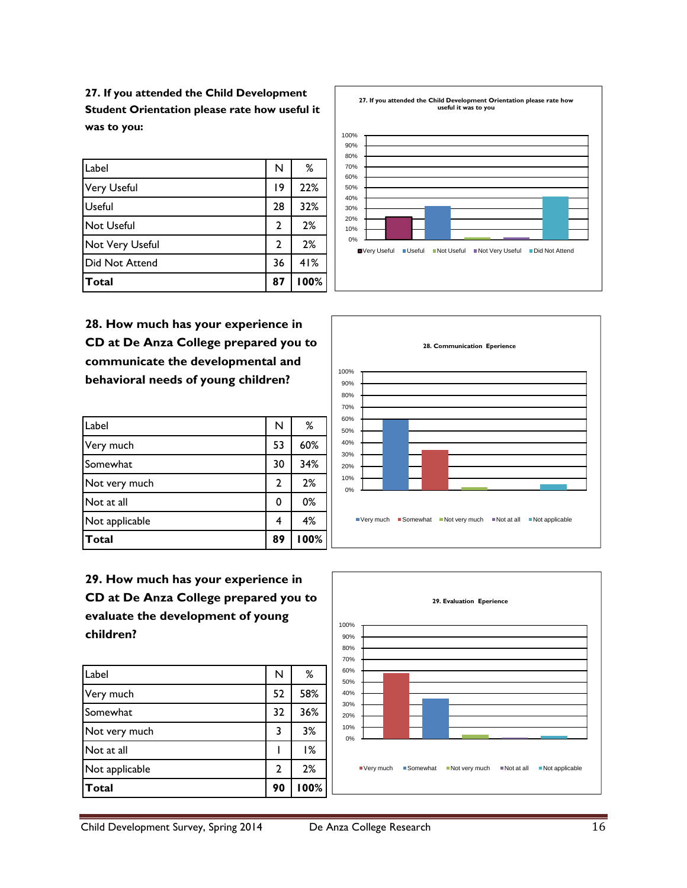**27. If you attended the Child Development Student Orientation please rate how useful it was to you:**

| Label           | N              | ℅    |
|-----------------|----------------|------|
| Very Useful     | 19             | 22%  |
| <b>Useful</b>   | 28             | 32%  |
| Not Useful      | $\overline{2}$ | 2%   |
| Not Very Useful | 2              | 2%   |
| Did Not Attend  | 36             | 41%  |
| <b>Total</b>    | 87             | 100% |

**28. How much has your experience in CD at De Anza College prepared you to communicate the developmental and behavioral needs of young children?**

| Label          | N  | %    |
|----------------|----|------|
| Very much      | 53 | 60%  |
| Somewhat       | 30 | 34%  |
| Not very much  | 2  | 2%   |
| Not at all     | 0  | 0%   |
| Not applicable | 4  | 4%   |
| <b>Total</b>   | 89 | 100% |

**29. How much has your experience in CD at De Anza College prepared you to evaluate the development of young children?**

| Label          | N  | ℅    |
|----------------|----|------|
| Very much      | 52 | 58%  |
| Somewhat       | 32 | 36%  |
| Not very much  | 3  | 3%   |
| Not at all     |    | 1%   |
| Not applicable | 2  | 2%   |
| Total          | 90 | 100% |







Child Development Survey, Spring 2014 De Anza College Research 16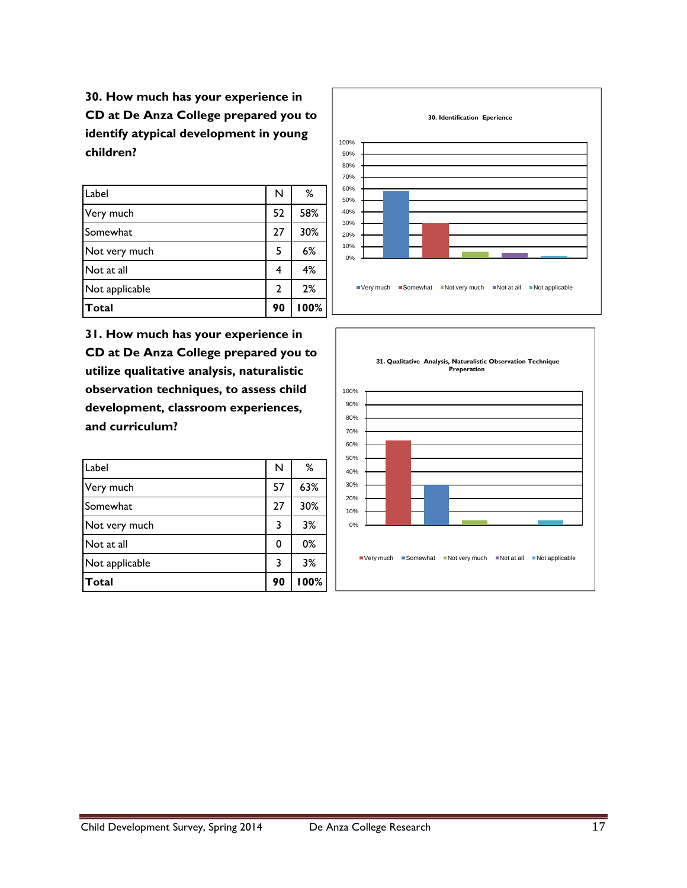**30. How much has your experience in CD at De Anza College prepared you to identify atypical development in young children?**

| Total          | 90             | 100% |
|----------------|----------------|------|
| Not applicable | $\overline{2}$ | 2%   |
| Not at all     | 4              | 4%   |
| Not very much  | 5              | 6%   |
| Somewhat       | 27             | 30%  |
| Very much      | 52             | 58%  |
| Label          | N              | %    |

**31. How much has your experience in CD at De Anza College prepared you to utilize qualitative analysis, naturalistic observation techniques, to assess child development, classroom experiences, and curriculum?**

| Label          | N  | ℅    |
|----------------|----|------|
| Very much      | 57 | 63%  |
| Somewhat       | 27 | 30%  |
| Not very much  | 3  | 3%   |
| Not at all     | 0  | 0%   |
| Not applicable | 3  | 3%   |
| <b>Total</b>   | 90 | 100% |



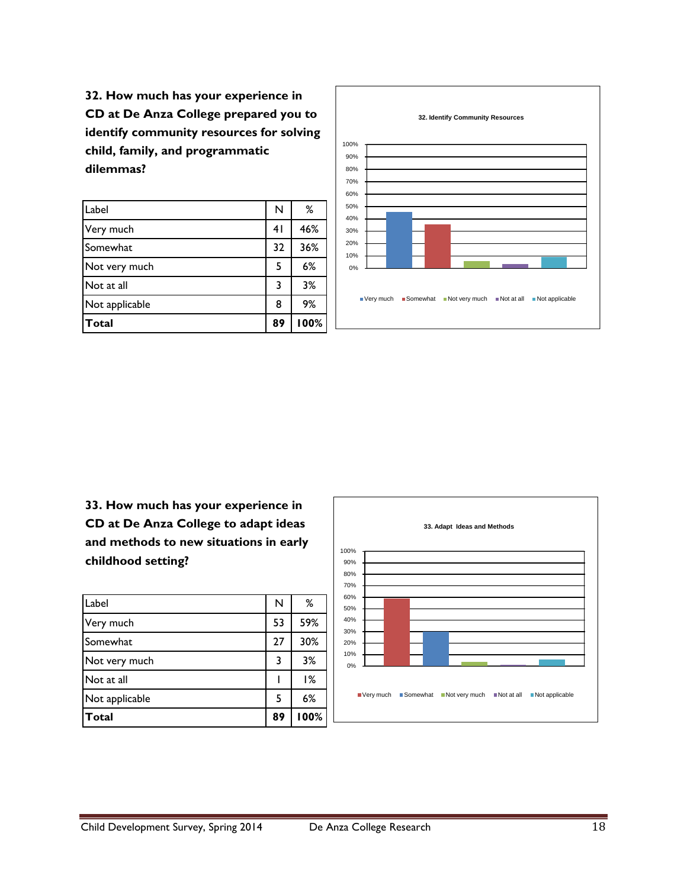**32. How much has your experience in CD at De Anza College prepared you to identify community resources for solving child, family, and programmatic dilemmas?**

| Label          | N  | ℅    |
|----------------|----|------|
| Very much      | 41 | 46%  |
| Somewhat       | 32 | 36%  |
| Not very much  | 5  | 6%   |
| Not at all     | 3  | 3%   |
| Not applicable | 8  | 9%   |
| Total          | 89 | 100% |



**33. How much has your experience in CD at De Anza College to adapt ideas and methods to new situations in early childhood setting?**

| Label          | N  | ℅    |
|----------------|----|------|
| Very much      | 53 | 59%  |
| Somewhat       | 27 | 30%  |
| Not very much  | 3  | 3%   |
| Not at all     |    | 1%   |
| Not applicable | 5  | 6%   |
| Total          | 89 | 100% |

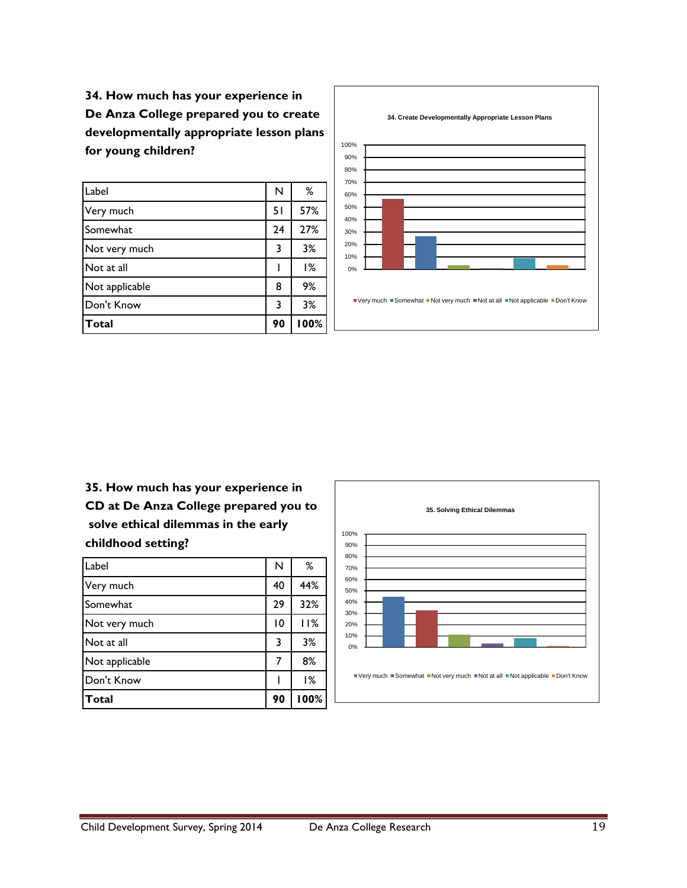**34. How much has your experience in De Anza College prepared you to create developmentally appropriate lesson plans for young children?**

| Label          | N  | %    |
|----------------|----|------|
| Very much      | 51 | 57%  |
| Somewhat       | 24 | 27%  |
| Not very much  | 3  | 3%   |
| Not at all     |    | 1%   |
| Not applicable | 8  | 9%   |
| Don't Know     | 3  | 3%   |
| <b>Total</b>   | 90 | 100% |



**35. How much has your experience in CD at De Anza College prepared you to solve ethical dilemmas in the early childhood setting?**

| Label          | N  | ℅    |
|----------------|----|------|
| Very much      | 40 | 44%  |
| Somewhat       | 29 | 32%  |
| Not very much  | 10 | 11%  |
| Not at all     | 3  | 3%   |
| Not applicable | 7  | 8%   |
| Don't Know     |    | 1%   |
| Total          | 90 | 100% |

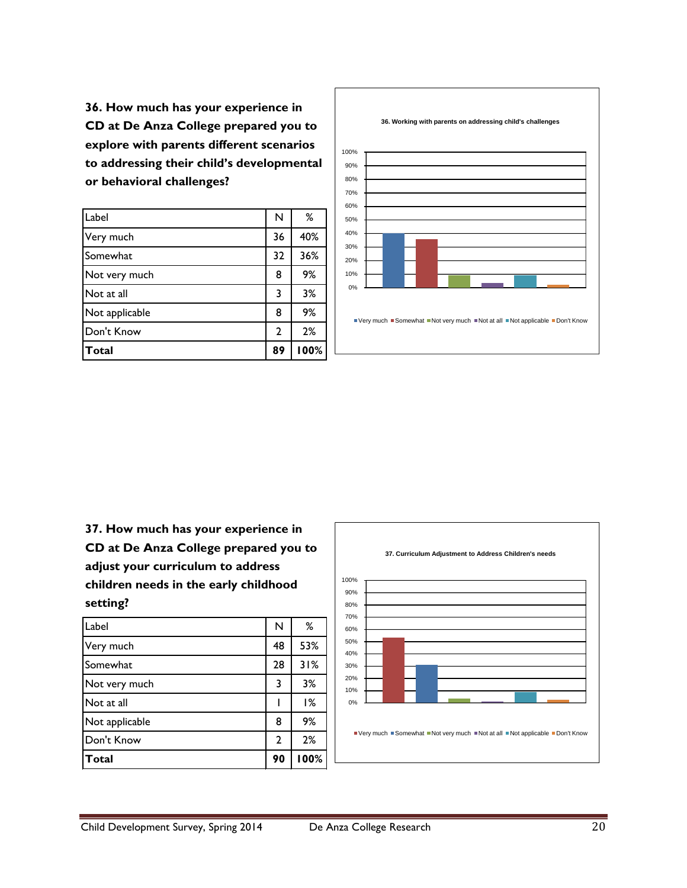**36. How much has your experience in CD at De Anza College prepared you to explore with parents different scenarios to addressing their child's developmental or behavioral challenges?**

| Label          | N            | ℅    |
|----------------|--------------|------|
| Very much      | 36           | 40%  |
| Somewhat       | 32           | 36%  |
| Not very much  | 8            | 9%   |
| Not at all     | 3            | 3%   |
| Not applicable | 8            | 9%   |
| Don't Know     | $\mathbf{2}$ | 2%   |
| Total          | 89           | 100% |



**37. How much has your experience in CD at De Anza College prepared you to adjust your curriculum to address children needs in the early childhood setting?**

| Label          | N  | ℅    |
|----------------|----|------|
| Very much      | 48 | 53%  |
| Somewhat       | 28 | 31%  |
| Not very much  | 3  | 3%   |
| Not at all     |    | 1%   |
| Not applicable | 8  | 9%   |
| Don't Know     | 2  | 2%   |
| <b>Total</b>   | 90 | 100% |